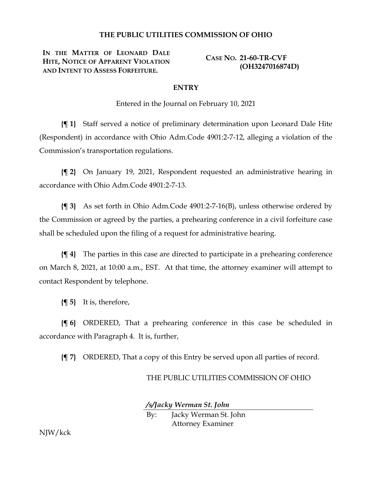## **THE PUBLIC UTILITIES COMMISSION OF OHIO**

**IN THE MATTER OF LEONARD DALE HITE, NOTICE OF APPARENT VIOLATION AND INTENT TO ASSESS FORFEITURE.**

**CASE NO. 21-60-TR-CVF (OH3247016874D)**

## **ENTRY**

Entered in the Journal on February 10, 2021

**{¶ 1}** Staff served a notice of preliminary determination upon Leonard Dale Hite (Respondent) in accordance with Ohio Adm.Code 4901:2-7-12, alleging a violation of the Commission's transportation regulations.

**{¶ 2}** On January 19, 2021, Respondent requested an administrative hearing in accordance with Ohio Adm.Code 4901:2-7-13.

**{¶ 3}** As set forth in Ohio Adm.Code 4901:2-7-16(B), unless otherwise ordered by the Commission or agreed by the parties, a prehearing conference in a civil forfeiture case shall be scheduled upon the filing of a request for administrative hearing.

**{¶ 4}** The parties in this case are directed to participate in a prehearing conference on March 8, 2021, at 10:00 a.m., EST. At that time, the attorney examiner will attempt to contact Respondent by telephone.

**{¶ 5}** It is, therefore,

**{¶ 6}** ORDERED, That a prehearing conference in this case be scheduled in accordance with Paragraph 4. It is, further,

**{¶ 7}** ORDERED, That a copy of this Entry be served upon all parties of record.

## THE PUBLIC UTILITIES COMMISSION OF OHIO

*/s/Jacky Werman St. John*

By: Jacky Werman St. John Attorney Examiner

NJW/kck